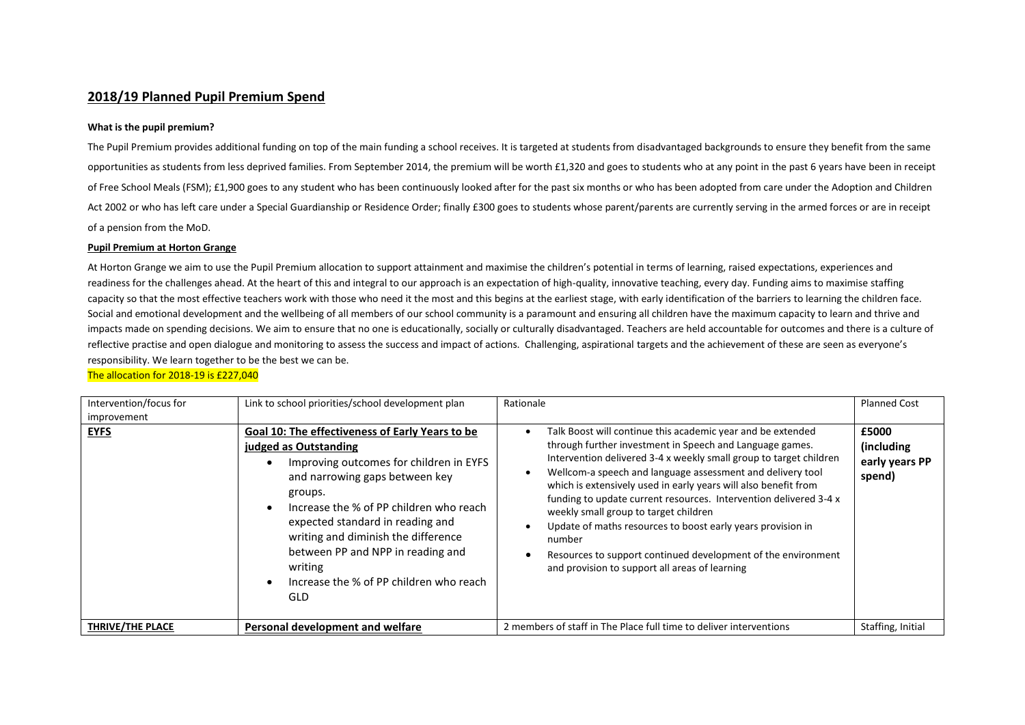## **2018/19 Planned Pupil Premium Spend**

## **What is the pupil premium?**

The Pupil Premium provides additional funding on top of the main funding a school receives. It is targeted at students from disadvantaged backgrounds to ensure they benefit from the same opportunities as students from less deprived families. From September 2014, the premium will be worth £1,320 and goes to students who at any point in the past 6 years have been in receipt of Free School Meals (FSM); £1,900 goes to any student who has been continuously looked after for the past six months or who has been adopted from care under the Adoption and Children Act 2002 or who has left care under a Special Guardianship or Residence Order; finally £300 goes to students whose parent/parents are currently serving in the armed forces or are in receipt of a pension from the MoD.

## **Pupil Premium at Horton Grange**

At Horton Grange we aim to use the Pupil Premium allocation to support attainment and maximise the children's potential in terms of learning, raised expectations, experiences and readiness for the challenges ahead. At the heart of this and integral to our approach is an expectation of high-quality, innovative teaching, every day. Funding aims to maximise staffing capacity so that the most effective teachers work with those who need it the most and this begins at the earliest stage, with early identification of the barriers to learning the children face. Social and emotional development and the wellbeing of all members of our school community is a paramount and ensuring all children have the maximum capacity to learn and thrive and impacts made on spending decisions. We aim to ensure that no one is educationally, socially or culturally disadvantaged. Teachers are held accountable for outcomes and there is a culture of reflective practise and open dialogue and monitoring to assess the success and impact of actions. Challenging, aspirational targets and the achievement of these are seen as everyone's responsibility. We learn together to be the best we can be.

| Intervention/focus for  | Link to school priorities/school development plan                                                                                                                                                                                                                                                                                                                                                                         | Rationale                                                                                                                                                                                                                                                                                                                                                                                                                                                                                                                                                                                                                                | <b>Planned Cost</b>                             |
|-------------------------|---------------------------------------------------------------------------------------------------------------------------------------------------------------------------------------------------------------------------------------------------------------------------------------------------------------------------------------------------------------------------------------------------------------------------|------------------------------------------------------------------------------------------------------------------------------------------------------------------------------------------------------------------------------------------------------------------------------------------------------------------------------------------------------------------------------------------------------------------------------------------------------------------------------------------------------------------------------------------------------------------------------------------------------------------------------------------|-------------------------------------------------|
| improvement             |                                                                                                                                                                                                                                                                                                                                                                                                                           |                                                                                                                                                                                                                                                                                                                                                                                                                                                                                                                                                                                                                                          |                                                 |
| <b>EYFS</b>             | Goal 10: The effectiveness of Early Years to be<br>judged as Outstanding<br>Improving outcomes for children in EYFS<br>and narrowing gaps between key<br>groups.<br>Increase the % of PP children who reach<br>$\bullet$<br>expected standard in reading and<br>writing and diminish the difference<br>between PP and NPP in reading and<br>writing<br>Increase the % of PP children who reach<br>$\bullet$<br><b>GLD</b> | Talk Boost will continue this academic year and be extended<br>through further investment in Speech and Language games.<br>Intervention delivered 3-4 x weekly small group to target children<br>Wellcom-a speech and language assessment and delivery tool<br>which is extensively used in early years will also benefit from<br>funding to update current resources. Intervention delivered 3-4 x<br>weekly small group to target children<br>Update of maths resources to boost early years provision in<br>number<br>Resources to support continued development of the environment<br>and provision to support all areas of learning | £5000<br>(including<br>early years PP<br>spend) |
| <b>THRIVE/THE PLACE</b> | Personal development and welfare                                                                                                                                                                                                                                                                                                                                                                                          | 2 members of staff in The Place full time to deliver interventions                                                                                                                                                                                                                                                                                                                                                                                                                                                                                                                                                                       | Staffing, Initial                               |

## The allocation for 2018-19 is £227,040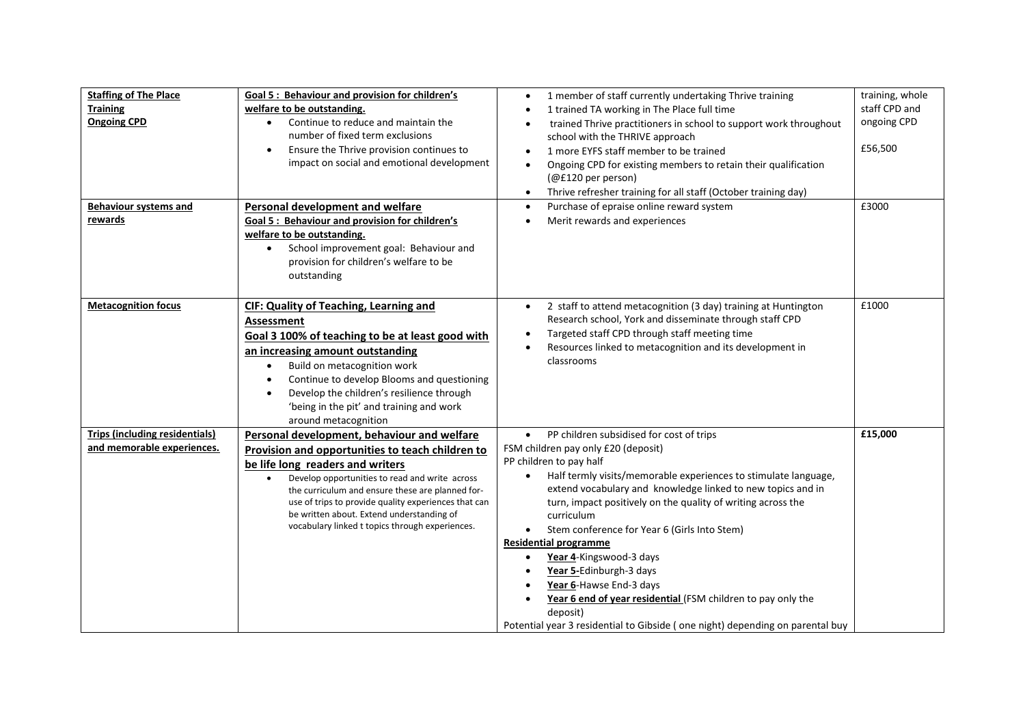| <b>Staffing of The Place</b><br><b>Training</b><br><b>Ongoing CPD</b> | Goal 5: Behaviour and provision for children's<br>welfare to be outstanding.<br>Continue to reduce and maintain the<br>number of fixed term exclusions<br>Ensure the Thrive provision continues to<br>$\bullet$<br>impact on social and emotional development                                                                                                                                                  | 1 member of staff currently undertaking Thrive training<br>1 trained TA working in The Place full time<br>trained Thrive practitioners in school to support work throughout<br>school with the THRIVE approach<br>1 more EYFS staff member to be trained<br>$\bullet$<br>Ongoing CPD for existing members to retain their qualification<br>$\bullet$<br>(@£120 per person)<br>Thrive refresher training for all staff (October training day)<br>$\bullet$                                                                                                                                                                                                                                       | training, whole<br>staff CPD and<br>ongoing CPD<br>£56,500 |
|-----------------------------------------------------------------------|----------------------------------------------------------------------------------------------------------------------------------------------------------------------------------------------------------------------------------------------------------------------------------------------------------------------------------------------------------------------------------------------------------------|-------------------------------------------------------------------------------------------------------------------------------------------------------------------------------------------------------------------------------------------------------------------------------------------------------------------------------------------------------------------------------------------------------------------------------------------------------------------------------------------------------------------------------------------------------------------------------------------------------------------------------------------------------------------------------------------------|------------------------------------------------------------|
| <b>Behaviour systems and</b><br>rewards                               | Personal development and welfare<br>Goal 5 : Behaviour and provision for children's<br>welfare to be outstanding.<br>School improvement goal: Behaviour and<br>$\bullet$<br>provision for children's welfare to be<br>outstanding                                                                                                                                                                              | Purchase of epraise online reward system<br>$\bullet$<br>Merit rewards and experiences<br>٠                                                                                                                                                                                                                                                                                                                                                                                                                                                                                                                                                                                                     | £3000                                                      |
| <b>Metacognition focus</b>                                            | CIF: Quality of Teaching, Learning and<br><b>Assessment</b><br>Goal 3 100% of teaching to be at least good with<br>an increasing amount outstanding<br>Build on metacognition work<br>$\bullet$<br>Continue to develop Blooms and questioning<br>$\bullet$<br>Develop the children's resilience through<br>$\bullet$<br>'being in the pit' and training and work<br>around metacognition                       | 2 staff to attend metacognition (3 day) training at Huntington<br>$\bullet$<br>Research school, York and disseminate through staff CPD<br>Targeted staff CPD through staff meeting time<br>$\bullet$<br>Resources linked to metacognition and its development in<br>classrooms                                                                                                                                                                                                                                                                                                                                                                                                                  | £1000                                                      |
| <b>Trips (including residentials)</b><br>and memorable experiences.   | Personal development, behaviour and welfare<br>Provision and opportunities to teach children to<br>be life long readers and writers<br>Develop opportunities to read and write across<br>$\bullet$<br>the curriculum and ensure these are planned for-<br>use of trips to provide quality experiences that can<br>be written about. Extend understanding of<br>vocabulary linked t topics through experiences. | PP children subsidised for cost of trips<br>$\bullet$<br>FSM children pay only £20 (deposit)<br>PP children to pay half<br>Half termly visits/memorable experiences to stimulate language,<br>extend vocabulary and knowledge linked to new topics and in<br>turn, impact positively on the quality of writing across the<br>curriculum<br>Stem conference for Year 6 (Girls Into Stem)<br><b>Residential programme</b><br>Year 4-Kingswood-3 days<br>$\bullet$<br>Year 5-Edinburgh-3 days<br>$\bullet$<br>Year 6-Hawse End-3 days<br>Year 6 end of year residential (FSM children to pay only the<br>deposit)<br>Potential year 3 residential to Gibside (one night) depending on parental buy | £15,000                                                    |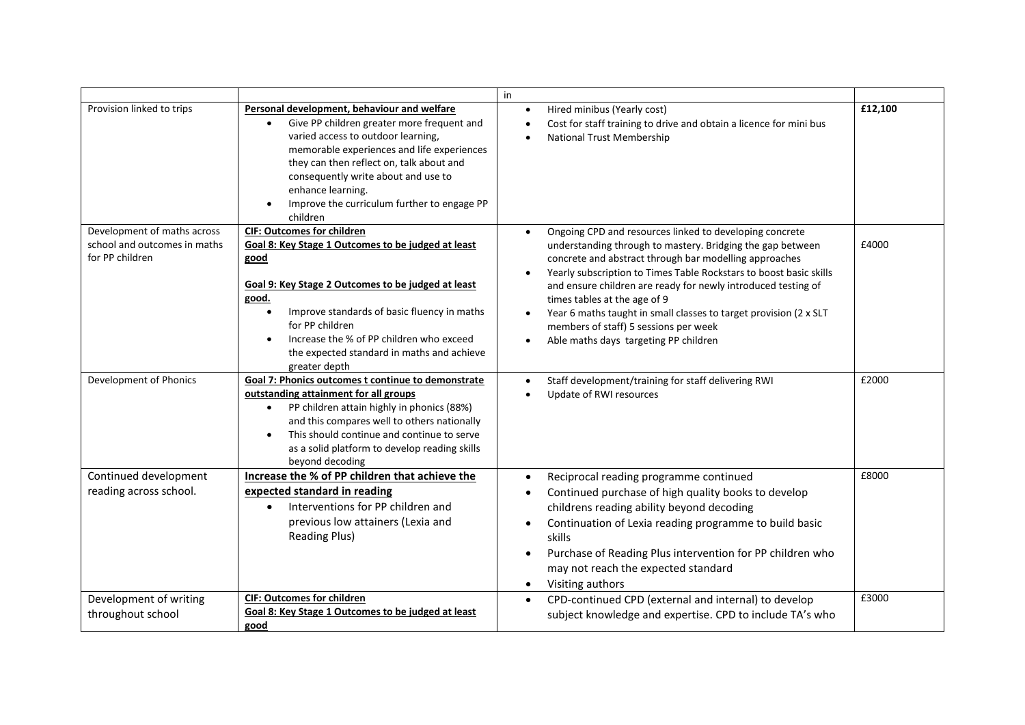|                                                                                |                                                                                                                                                                                                                                                                                                                                                          | in                                                                                                                                                                                                                                                                                                                                                                                                                                                                                                                                      |         |
|--------------------------------------------------------------------------------|----------------------------------------------------------------------------------------------------------------------------------------------------------------------------------------------------------------------------------------------------------------------------------------------------------------------------------------------------------|-----------------------------------------------------------------------------------------------------------------------------------------------------------------------------------------------------------------------------------------------------------------------------------------------------------------------------------------------------------------------------------------------------------------------------------------------------------------------------------------------------------------------------------------|---------|
| Provision linked to trips                                                      | Personal development, behaviour and welfare<br>Give PP children greater more frequent and<br>varied access to outdoor learning,<br>memorable experiences and life experiences<br>they can then reflect on, talk about and<br>consequently write about and use to<br>enhance learning.<br>Improve the curriculum further to engage PP<br>children         | Hired minibus (Yearly cost)<br>Cost for staff training to drive and obtain a licence for mini bus<br>National Trust Membership                                                                                                                                                                                                                                                                                                                                                                                                          | £12,100 |
| Development of maths across<br>school and outcomes in maths<br>for PP children | <b>CIF: Outcomes for children</b><br>Goal 8: Key Stage 1 Outcomes to be judged at least<br>good<br>Goal 9: Key Stage 2 Outcomes to be judged at least<br>good.<br>Improve standards of basic fluency in maths<br>$\bullet$<br>for PP children<br>Increase the % of PP children who exceed<br>the expected standard in maths and achieve<br>greater depth | Ongoing CPD and resources linked to developing concrete<br>understanding through to mastery. Bridging the gap between<br>concrete and abstract through bar modelling approaches<br>Yearly subscription to Times Table Rockstars to boost basic skills<br>and ensure children are ready for newly introduced testing of<br>times tables at the age of 9<br>Year 6 maths taught in small classes to target provision (2 x SLT<br>$\bullet$<br>members of staff) 5 sessions per week<br>Able maths days targeting PP children<br>$\bullet$ | £4000   |
| Development of Phonics                                                         | Goal 7: Phonics outcomes t continue to demonstrate<br>outstanding attainment for all groups<br>PP children attain highly in phonics (88%)<br>and this compares well to others nationally<br>This should continue and continue to serve<br>as a solid platform to develop reading skills<br>beyond decoding                                               | Staff development/training for staff delivering RWI<br>Update of RWI resources                                                                                                                                                                                                                                                                                                                                                                                                                                                          | £2000   |
| Continued development<br>reading across school.                                | Increase the % of PP children that achieve the<br>expected standard in reading<br>Interventions for PP children and<br>$\bullet$<br>previous low attainers (Lexia and<br><b>Reading Plus)</b>                                                                                                                                                            | Reciprocal reading programme continued<br>$\bullet$<br>Continued purchase of high quality books to develop<br>$\bullet$<br>childrens reading ability beyond decoding<br>Continuation of Lexia reading programme to build basic<br>skills<br>Purchase of Reading Plus intervention for PP children who<br>may not reach the expected standard<br>Visiting authors<br>$\bullet$                                                                                                                                                           | £8000   |
| Development of writing<br>throughout school                                    | <b>CIF: Outcomes for children</b><br>Goal 8: Key Stage 1 Outcomes to be judged at least<br>good                                                                                                                                                                                                                                                          | CPD-continued CPD (external and internal) to develop<br>$\bullet$<br>subject knowledge and expertise. CPD to include TA's who                                                                                                                                                                                                                                                                                                                                                                                                           | £3000   |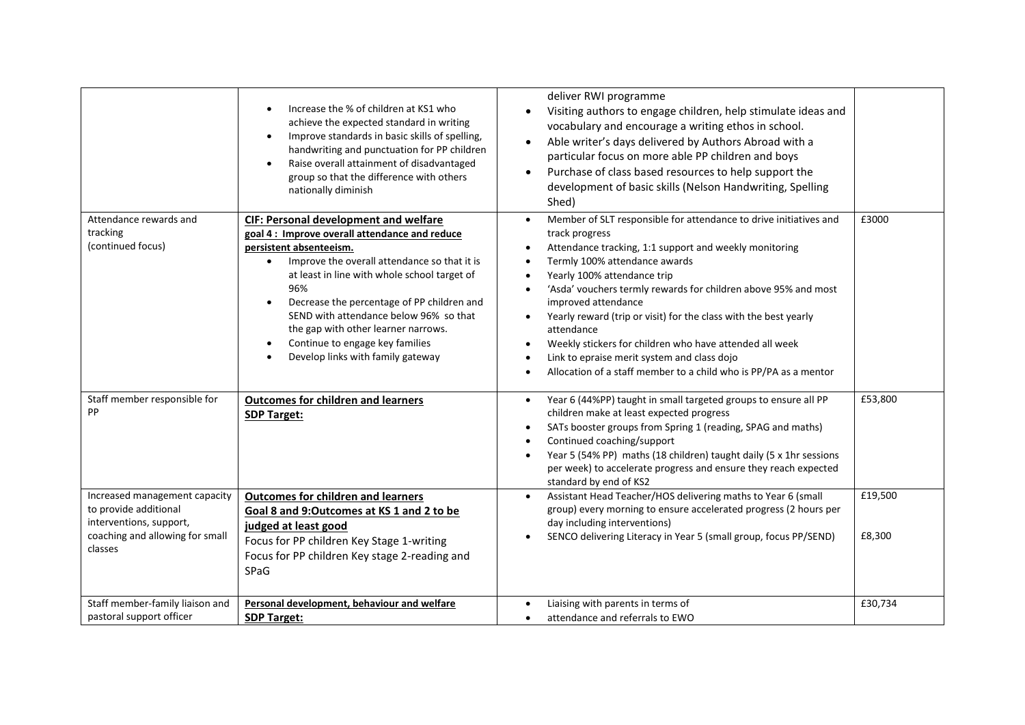|                                                                                                                                 | Increase the % of children at KS1 who<br>$\bullet$<br>achieve the expected standard in writing<br>Improve standards in basic skills of spelling,<br>$\bullet$<br>handwriting and punctuation for PP children<br>Raise overall attainment of disadvantaged<br>$\bullet$<br>group so that the difference with others<br>nationally diminish                                                                                                            | deliver RWI programme<br>Visiting authors to engage children, help stimulate ideas and<br>$\bullet$<br>vocabulary and encourage a writing ethos in school.<br>Able writer's days delivered by Authors Abroad with a<br>$\bullet$<br>particular focus on more able PP children and boys<br>Purchase of class based resources to help support the<br>$\bullet$<br>development of basic skills (Nelson Handwriting, Spelling<br>Shed)                                                                                                                                                                                                           |                   |
|---------------------------------------------------------------------------------------------------------------------------------|------------------------------------------------------------------------------------------------------------------------------------------------------------------------------------------------------------------------------------------------------------------------------------------------------------------------------------------------------------------------------------------------------------------------------------------------------|----------------------------------------------------------------------------------------------------------------------------------------------------------------------------------------------------------------------------------------------------------------------------------------------------------------------------------------------------------------------------------------------------------------------------------------------------------------------------------------------------------------------------------------------------------------------------------------------------------------------------------------------|-------------------|
| Attendance rewards and<br>tracking<br>(continued focus)                                                                         | <b>CIF: Personal development and welfare</b><br>goal 4 : Improve overall attendance and reduce<br>persistent absenteeism.<br>Improve the overall attendance so that it is<br>$\bullet$<br>at least in line with whole school target of<br>96%<br>Decrease the percentage of PP children and<br>SEND with attendance below 96% so that<br>the gap with other learner narrows.<br>Continue to engage key families<br>Develop links with family gateway | Member of SLT responsible for attendance to drive initiatives and<br>$\bullet$<br>track progress<br>Attendance tracking, 1:1 support and weekly monitoring<br>Termly 100% attendance awards<br>٠<br>Yearly 100% attendance trip<br>$\bullet$<br>'Asda' vouchers termly rewards for children above 95% and most<br>improved attendance<br>Yearly reward (trip or visit) for the class with the best yearly<br>$\bullet$<br>attendance<br>Weekly stickers for children who have attended all week<br>$\bullet$<br>Link to epraise merit system and class dojo<br>$\bullet$<br>Allocation of a staff member to a child who is PP/PA as a mentor | £3000             |
| Staff member responsible for<br>PP                                                                                              | <b>Outcomes for children and learners</b><br><b>SDP Target:</b>                                                                                                                                                                                                                                                                                                                                                                                      | Year 6 (44%PP) taught in small targeted groups to ensure all PP<br>$\bullet$<br>children make at least expected progress<br>SATs booster groups from Spring 1 (reading, SPAG and maths)<br>$\bullet$<br>Continued coaching/support<br>Year 5 (54% PP) maths (18 children) taught daily (5 x 1hr sessions<br>per week) to accelerate progress and ensure they reach expected<br>standard by end of KS2                                                                                                                                                                                                                                        | £53,800           |
| Increased management capacity<br>to provide additional<br>interventions, support,<br>coaching and allowing for small<br>classes | <b>Outcomes for children and learners</b><br>Goal 8 and 9:Outcomes at KS 1 and 2 to be<br>judged at least good<br>Focus for PP children Key Stage 1-writing<br>Focus for PP children Key stage 2-reading and<br>SPaG                                                                                                                                                                                                                                 | Assistant Head Teacher/HOS delivering maths to Year 6 (small<br>group) every morning to ensure accelerated progress (2 hours per<br>day including interventions)<br>SENCO delivering Literacy in Year 5 (small group, focus PP/SEND)<br>$\bullet$                                                                                                                                                                                                                                                                                                                                                                                            | £19,500<br>£8,300 |
| Staff member-family liaison and<br>pastoral support officer                                                                     | Personal development, behaviour and welfare<br><b>SDP Target:</b>                                                                                                                                                                                                                                                                                                                                                                                    | Liaising with parents in terms of<br>attendance and referrals to EWO<br>$\bullet$                                                                                                                                                                                                                                                                                                                                                                                                                                                                                                                                                            | £30,734           |